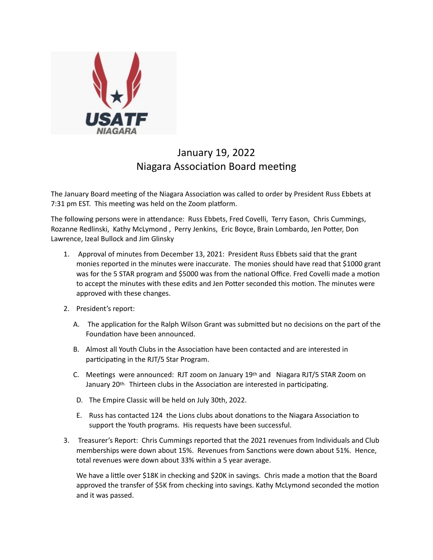

## January 19, 2022 Niagara Association Board meeting

The January Board meeting of the Niagara Association was called to order by President Russ Ebbets at 7:31 pm EST. This meeting was held on the Zoom platform.

The following persons were in attendance: Russ Ebbets, Fred Covelli, Terry Eason, Chris Cummings, Rozanne Redlinski, Kathy McLymond, Perry Jenkins, Eric Boyce, Brain Lombardo, Jen Potter, Don Lawrence, Izeal Bullock and Jim Glinsky

- 1. Approval of minutes from December 13, 2021: President Russ Ebbets said that the grant monies reported in the minutes were inaccurate. The monies should have read that \$1000 grant was for the 5 STAR program and \$5000 was from the national Office. Fred Covelli made a motion to accept the minutes with these edits and Jen Potter seconded this motion. The minutes were approved with these changes.
- 2. President's report:
	- A. The application for the Ralph Wilson Grant was submitted but no decisions on the part of the Foundation have been announced.
	- B. Almost all Youth Clubs in the Association have been contacted and are interested in participating in the RJT/5 Star Program.
	- C. Meetings were announced: RJT zoom on January  $19<sup>th</sup>$  and Niagara RJT/5 STAR Zoom on January 20<sup>th.</sup> Thirteen clubs in the Association are interested in participating.
	- D. The Empire Classic will be held on July 30th, 2022.
	- E. Russ has contacted 124 the Lions clubs about donations to the Niagara Association to support the Youth programs. His requests have been successful.
- 3. Treasurer's Report: Chris Cummings reported that the 2021 revenues from Individuals and Club memberships were down about 15%. Revenues from Sanctions were down about 51%. Hence, total revenues were down about 33% within a 5 year average.

We have a little over \$18K in checking and \$20K in savings. Chris made a motion that the Board approved the transfer of \$5K from checking into savings. Kathy McLymond seconded the motion and it was passed.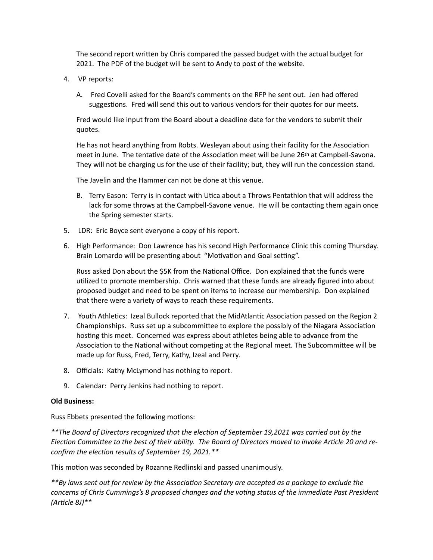The second report written by Chris compared the passed budget with the actual budget for 2021. The PDF of the budget will be sent to Andy to post of the website.

- 4. VP reports:
	- A. Fred Covelli asked for the Board's comments on the RFP he sent out. Jen had offered suggestions. Fred will send this out to various vendors for their quotes for our meets.

Fred would like input from the Board about a deadline date for the vendors to submit their quotes.

He has not heard anything from Robts. Wesleyan about using their facility for the Association meet in June. The tentative date of the Association meet will be June 26th at Campbell-Savona. They will not be charging us for the use of their facility; but, they will run the concession stand.

The Javelin and the Hammer can not be done at this venue.

- B. Terry Eason: Terry is in contact with Utica about a Throws Pentathlon that will address the lack for some throws at the Campbell-Savone venue. He will be contacting them again once the Spring semester starts.
- 5. LDR: Eric Boyce sent everyone a copy of his report.
- 6. High Performance: Don Lawrence has his second High Performance Clinic this coming Thursday. Brain Lomardo will be presenting about "Motivation and Goal setting".

Russ asked Don about the \$5K from the National Office. Don explained that the funds were utilized to promote membership. Chris warned that these funds are already figured into about proposed budget and need to be spent on items to increase our membership. Don explained that there were a variety of ways to reach these requirements.

- 7. Youth Athletics: Izeal Bullock reported that the MidAtlantic Association passed on the Region 2 Championships. Russ set up a subcommittee to explore the possibly of the Niagara Association hosting this meet. Concerned was express about athletes being able to advance from the Association to the National without competing at the Regional meet. The Subcommittee will be made up for Russ, Fred, Terry, Kathy, Izeal and Perry.
- 8. Officials: Kathy McLymond has nothing to report.
- 9. Calendar: Perry Jenkins had nothing to report.

## **Old Business:**

Russ Ebbets presented the following motions:

\*\*The Board of Directors recognized that the election of September 19,2021 was carried out by the Election Committee to the best of their ability. The Board of Directors moved to invoke Article 20 and re*confirm the election results of September 19, 2021.*\*\*

This motion was seconded by Rozanne Redlinski and passed unanimously.

*\*\*By laws sent out for review by the Associa5on Secretary are accepted as a package to exclude the*  concerns of Chris Cummings's 8 proposed changes and the voting status of the immediate Past President *(Ar5cle 8J)\*\**